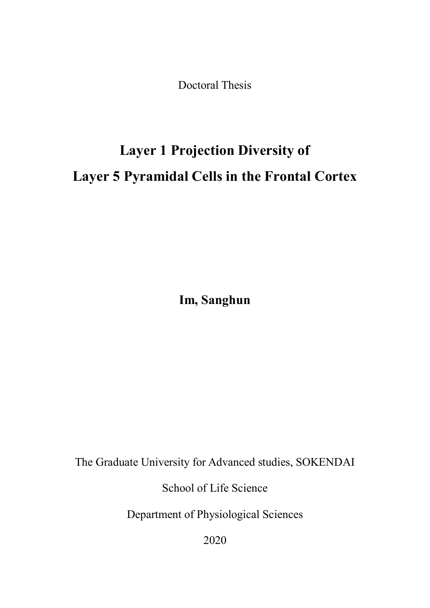Doctoral Thesis

## **Layer 1 Projection Diversity of Layer 5 Pyramidal Cells in the Frontal Cortex**

**Im, Sanghun**

The Graduate University for Advanced studies, SOKENDAI

School of Life Science

Department of Physiological Sciences

2020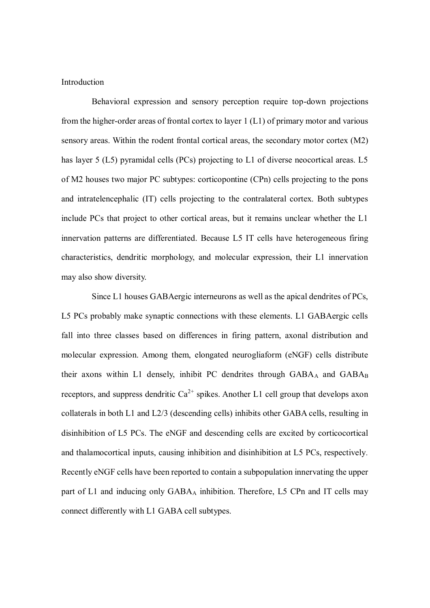## Introduction

Behavioral expression and sensory perception require top-down projections from the higher-order areas of frontal cortex to layer 1 (L1) of primary motor and various sensory areas. Within the rodent frontal cortical areas, the secondary motor cortex (M2) has layer 5 (L5) pyramidal cells (PCs) projecting to L1 of diverse neocortical areas. L5 of M2 houses two major PC subtypes: corticopontine (CPn) cells projecting to the pons and intratelencephalic (IT) cells projecting to the contralateral cortex. Both subtypes include PCs that project to other cortical areas, but it remains unclear whether the L1 innervation patterns are differentiated. Because L5 IT cells have heterogeneous firing characteristics, dendritic morphology, and molecular expression, their L1 innervation may also show diversity.

Since L1 houses GABAergic interneurons as well as the apical dendrites of PCs, L5 PCs probably make synaptic connections with these elements. L1 GABAergic cells fall into three classes based on differences in firing pattern, axonal distribution and molecular expression. Among them, elongated neurogliaform (eNGF) cells distribute their axons within L1 densely, inhibit PC dendrites through GABAA and GABAB receptors, and suppress dendritic  $Ca^{2+}$  spikes. Another L1 cell group that develops axon collaterals in both L1 and L2/3 (descending cells) inhibits other GABA cells, resulting in disinhibition of L5 PCs. The eNGF and descending cells are excited by corticocortical and thalamocortical inputs, causing inhibition and disinhibition at L5 PCs, respectively*.*  Recently eNGF cells have been reported to contain a subpopulation innervating the upper part of L1 and inducing only GABA<sup>A</sup> inhibition. Therefore, L5 CPn and IT cells may connect differently with L1 GABA cell subtypes.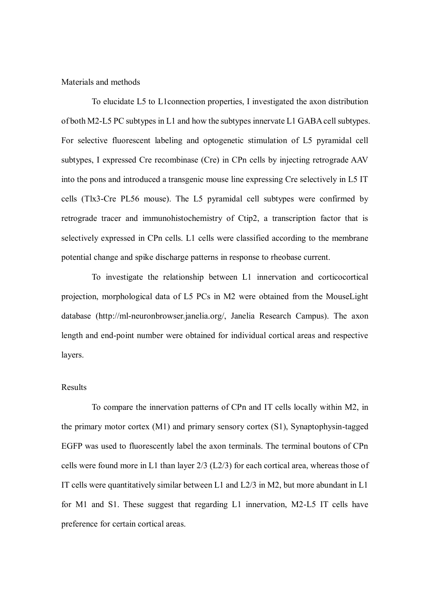Materials and methods

To elucidate L5 to L1connection properties, I investigated the axon distribution of both M2-L5 PC subtypes in L1 and how the subtypes innervate L1 GABA cell subtypes. For selective fluorescent labeling and optogenetic stimulation of L5 pyramidal cell subtypes, I expressed Cre recombinase (Cre) in CPn cells by injecting retrograde AAV into the pons and introduced a transgenic mouse line expressing Cre selectively in L5 IT cells (Tlx3-Cre PL56 mouse). The L5 pyramidal cell subtypes were confirmed by retrograde tracer and immunohistochemistry of Ctip2, a transcription factor that is selectively expressed in CPn cells. L1 cells were classified according to the membrane potential change and spike discharge patterns in response to rheobase current.

To investigate the relationship between L1 innervation and corticocortical projection, morphological data of L5 PCs in M2 were obtained from the MouseLight database (http://ml-neuronbrowser.janelia.org/, Janelia Research Campus). The axon length and end-point number were obtained for individual cortical areas and respective layers.

## Results

To compare the innervation patterns of CPn and IT cells locally within M2, in the primary motor cortex (M1) and primary sensory cortex (S1), Synaptophysin-tagged EGFP was used to fluorescently label the axon terminals. The terminal boutons of CPn cells were found more in L1 than layer 2/3 (L2/3) for each cortical area, whereas those of IT cells were quantitatively similar between L1 and L2/3 in M2, but more abundant in L1 for M1 and S1. These suggest that regarding L1 innervation, M2-L5 IT cells have preference for certain cortical areas.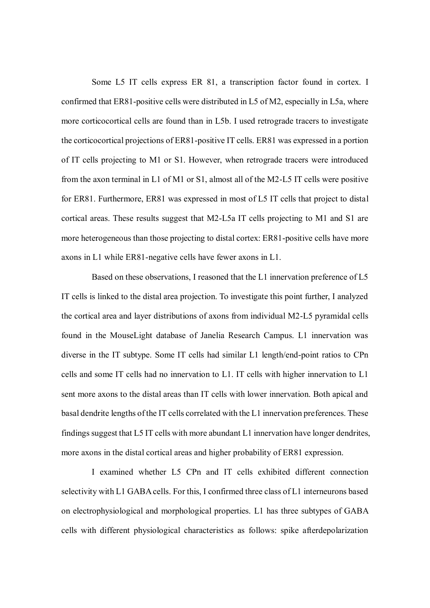Some L5 IT cells express ER 81, a transcription factor found in cortex. I confirmed that ER81-positive cells were distributed in L5 of M2, especially in L5a, where more corticocortical cells are found than in L5b. I used retrograde tracers to investigate the corticocortical projections of ER81-positive IT cells. ER81 was expressed in a portion of IT cells projecting to M1 or S1. However, when retrograde tracers were introduced from the axon terminal in L1 of M1 or S1, almost all of the M2-L5 IT cells were positive for ER81. Furthermore, ER81 was expressed in most of L5 IT cells that project to distal cortical areas. These results suggest that M2-L5a IT cells projecting to M1 and S1 are more heterogeneous than those projecting to distal cortex: ER81-positive cells have more axons in L1 while ER81-negative cells have fewer axons in L1.

Based on these observations, I reasoned that the L1 innervation preference of L5 IT cells is linked to the distal area projection. To investigate this point further, I analyzed the cortical area and layer distributions of axons from individual M2-L5 pyramidal cells found in the MouseLight database of Janelia Research Campus. L1 innervation was diverse in the IT subtype. Some IT cells had similar L1 length/end-point ratios to CPn cells and some IT cells had no innervation to L1. IT cells with higher innervation to L1 sent more axons to the distal areas than IT cells with lower innervation. Both apical and basal dendrite lengths of the IT cells correlated with the L1 innervation preferences. These findings suggest that L5 IT cells with more abundant L1 innervation have longer dendrites, more axons in the distal cortical areas and higher probability of ER81 expression.

I examined whether L5 CPn and IT cells exhibited different connection selectivity with L1 GABA cells. For this, I confirmed three class of L1 interneurons based on electrophysiological and morphological properties. L1 has three subtypes of GABA cells with different physiological characteristics as follows: spike afterdepolarization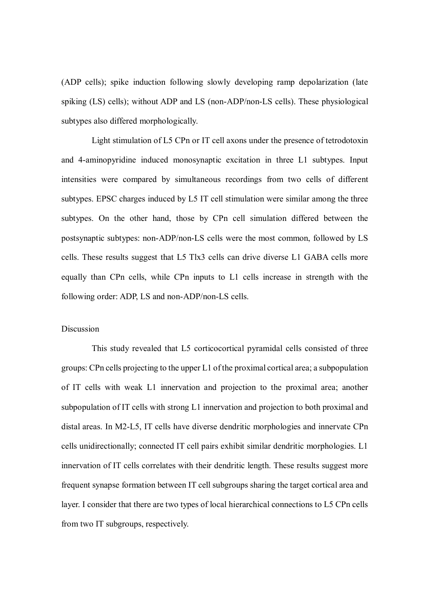(ADP cells); spike induction following slowly developing ramp depolarization (late spiking (LS) cells); without ADP and LS (non-ADP/non-LS cells). These physiological subtypes also differed morphologically.

Light stimulation of L5 CPn or IT cell axons under the presence of tetrodotoxin and 4-aminopyridine induced monosynaptic excitation in three L1 subtypes. Input intensities were compared by simultaneous recordings from two cells of different subtypes. EPSC charges induced by L5 IT cell stimulation were similar among the three subtypes. On the other hand, those by CPn cell simulation differed between the postsynaptic subtypes: non-ADP/non-LS cells were the most common, followed by LS cells. These results suggest that L5 Tlx3 cells can drive diverse L1 GABA cells more equally than CPn cells, while CPn inputs to L1 cells increase in strength with the following order: ADP, LS and non-ADP/non-LS cells.

## Discussion

This study revealed that L5 corticocortical pyramidal cells consisted of three groups: CPn cells projecting to the upper L1 of the proximal cortical area; a subpopulation of IT cells with weak L1 innervation and projection to the proximal area; another subpopulation of IT cells with strong L1 innervation and projection to both proximal and distal areas. In M2-L5, IT cells have diverse dendritic morphologies and innervate CPn cells unidirectionally; connected IT cell pairs exhibit similar dendritic morphologies. L1 innervation of IT cells correlates with their dendritic length. These results suggest more frequent synapse formation between IT cell subgroups sharing the target cortical area and layer. I consider that there are two types of local hierarchical connections to L5 CPn cells from two IT subgroups, respectively.